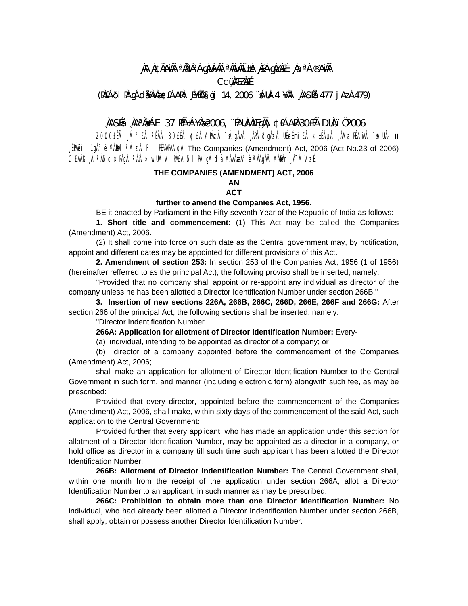# ,NA NGÃANH <sup>a</sup>Nan°ÁgNUN) <sup>a</sup>Nwhio±á nen qiznee ,naªá®anh **C¢üMEZAEE**

### (PÆÁði PÀ gÁdæÀvÀ梣ÁAPÀ: Ĺ¥Éħgï 14, 2006 ¨ÁUÀ-4 ¥ÀII ÀASÉå 477 jAzÀ 479)

# , NASÉA , NAªNŁÁE 37 HÁ±Á¥Næ2006, "ÉAUN)NAÆgNA, ¢£ÁARL30£Éà DUN 102006

11 -AUÀ" ĂMAJRAA, ALAIN AS USEA ALAMA, AVADA ANALA ALA AJOC AAJ<sup>®</sup> AJ AJOCOS  $[PhE$ i  $1gh^{\circ}$  è  $\frac{2}{3}$   $h$   $\frac{2006}{3}$  F  $\frac{H}{3}$   $\frac{3}{4}$  The Companies (Amendment) Act, 2006 (Act No.23 of 2006) CEÀÄB , ÁªÀÕd¤PÀgÀ ªÀiÁ»wUÁV PÀEÁÕI PÀ gÁdå ¥ÀvÀæÀ°èªÀÄqÀÄ ¥ÀÐÀn À¯ÁVzÉ.

#### THE COMPANIES (AMENDMENT) ACT, 2006

## **AN**

### **ACT**

### further to amend the Companies Act, 1956.

BE it enacted by Parliament in the Fifty-seventh Year of the Republic of India as follows: 1. Short title and commencement: (1) This Act may be called the Companies (Amendment) Act. 2006.

(2) It shall come into force on such date as the Central government may, by notification, appoint and different dates may be appointed for different provisions of this Act.

2. Amendment of section 253: In section 253 of the Companies Act. 1956 (1 of 1956) (hereinafter refferred to as the principal Act), the following proviso shall be inserted, namely:

"Provided that no company shall appoint or re-appoint any individual as director of the company unless he has been allotted a Director Identification Number under section 266B."

3. Insertion of new sections 226A, 266B, 266C, 266D, 266E, 266F and 266G: After section 266 of the principal Act, the following sections shall be inserted, namely:

"Director Indentification Number

266A: Application for allotment of Director Identification Number: Every-

(a) individual, intending to be appointed as director of a company; or

(b) director of a company appointed before the commencement of the Companies (Amendment) Act, 2006;

shall make an application for allotment of Director Identification Number to the Central Government in such form, and manner (including electronic form) alongwith such fee, as may be prescribed:

Provided that every director, appointed before the commencement of the Companies (Amendment) Act, 2006, shall make, within sixty days of the commencement of the said Act, such application to the Central Government:

Provided further that every applicant, who has made an application under this section for allotment of a Director Identification Number, may be appointed as a director in a company, or hold office as director in a company till such time such applicant has been allotted the Director **Identification Number.** 

266B: Allotment of Director Indentification Number: The Central Government shall, within one month from the receipt of the application under section 266A, allot a Director Identification Number to an applicant, in such manner as may be prescribed.

266C: Prohibition to obtain more than one Director Identification Number: No individual, who had already been allotted a Director Indentification Number under section 266B. shall apply, obtain or possess another Director Identification Number.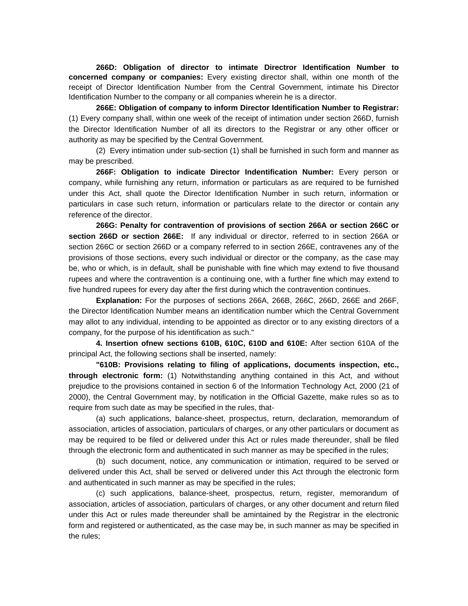**266D: Obligation of director to intimate Directror Identification Number to concerned company or companies:** Every existing director shall, within one month of the receipt of Director Identification Number from the Central Government, intimate his Director Identification Number to the company or all companies wherein he is a director.

**266E: Obligation of company to inform Director Identification Number to Registrar:** (1) Every company shall, within one week of the receipt of intimation under section 266D, furnish the Director Identification Number of all its directors to the Registrar or any other officer or authority as may be specified by the Central Government.

 (2) Every intimation under sub-section (1) shall be furnished in such form and manner as may be prescribed.

**266F: Obligation to indicate Director Indentification Number:** Every person or company, while furnishing any return, information or particulars as are required to be furnished under this Act, shall quote the Director Identification Number in such return, information or particulars in case such return, information or particulars relate to the director or contain any reference of the director.

**266G: Penalty for contravention of provisions of section 266A or section 266C or section 266D or section 266E:** If any individual or director, referred to in section 266A or section 266C or section 266D or a company referred to in section 266E, contravenes any of the provisions of those sections, every such individual or director or the company, as the case may be, who or which, is in default, shall be punishable with fine which may extend to five thousand rupees and where the contravention is a continuing one, with a further fine which may extend to five hundred rupees for every day after the first during which the contravention continues.

**Explanation:** For the purposes of sections 266A, 266B, 266C, 266D, 266E and 266F, the Director Identification Number means an identification number which the Central Government may allot to any individual, intending to be appointed as director or to any existing directors of a company, for the purpose of his identification as such."

**4. Insertion ofnew sections 610B, 610C, 610D and 610E:** After section 610A of the principal Act, the following sections shall be inserted, namely:

**"610B: Provisions relating to filing of applications, documents inspection, etc., through electronic form:** (1) Notwithstanding anything contained in this Act, and without prejudice to the provisions contained in section 6 of the Information Technology Act, 2000 (21 of 2000), the Central Government may, by notification in the Official Gazette, make rules so as to require from such date as may be specified in the rules, that-

 (a) such applications, balance-sheet, prospectus, return, declaration, memorandum of association, articles of association, particulars of charges, or any other particulars or document as may be required to be filed or delivered under this Act or rules made thereunder, shall be filed through the electronic form and authenticated in such manner as may be specified in the rules;

 (b) such document, notice, any communication or intimation, required to be served or delivered under this Act, shall be served or delivered under this Act through the electronic form and authenticated in such manner as may be specified in the rules;

 (c) such applications, balance-sheet, prospectus, return, register, memorandum of association, articles of association, particulars of charges, or any other document and return filed under this Act or rules made thereunder shall be amintained by the Registrar in the electronic form and registered or authenticated, as the case may be, in such manner as may be specified in the rules;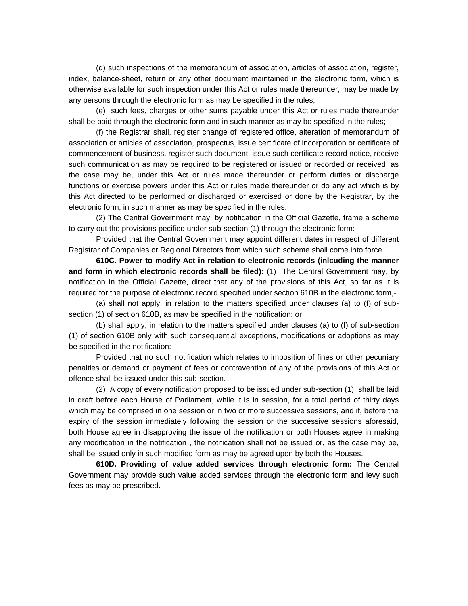(d) such inspections of the memorandum of association, articles of association, register, index, balance-sheet, return or any other document maintained in the electronic form, which is otherwise available for such inspection under this Act or rules made thereunder, may be made by any persons through the electronic form as may be specified in the rules;

 (e) such fees, charges or other sums payable under this Act or rules made thereunder shall be paid through the electronic form and in such manner as may be specified in the rules;

 (f) the Registrar shall, register change of registered office, alteration of memorandum of association or articles of association, prospectus, issue certificate of incorporation or certificate of commencement of business, register such document, issue such certificate record notice, receive such communication as may be required to be registered or issued or recorded or received, as the case may be, under this Act or rules made thereunder or perform duties or discharge functions or exercise powers under this Act or rules made thereunder or do any act which is by this Act directed to be performed or discharged or exercised or done by the Registrar, by the electronic form, in such manner as may be specified in the rules.

 (2) The Central Government may, by notification in the Official Gazette, frame a scheme to carry out the provisions pecified under sub-section (1) through the electronic form:

 Provided that the Central Government may appoint different dates in respect of different Registrar of Companies or Regional Directors from which such scheme shall come into force.

**610C. Power to modify Act in relation to electronic records (inlcuding the manner and form in which electronic records shall be filed):** (1) The Central Government may, by notification in the Official Gazette, direct that any of the provisions of this Act, so far as it is required for the purpose of electronic record specified under section 610B in the electronic form,-

 (a) shall not apply, in relation to the matters specified under clauses (a) to (f) of subsection (1) of section 610B, as may be specified in the notification; or

 (b) shall apply, in relation to the matters specified under clauses (a) to (f) of sub-section (1) of section 610B only with such consequential exceptions, modifications or adoptions as may be specified in the notification:

 Provided that no such notification which relates to imposition of fines or other pecuniary penalties or demand or payment of fees or contravention of any of the provisions of this Act or offence shall be issued under this sub-section.

 (2) A copy of every notification proposed to be issued under sub-section (1), shall be laid in draft before each House of Parliament, while it is in session, for a total period of thirty days which may be comprised in one session or in two or more successive sessions, and if, before the expiry of the session immediately following the session or the successive sessions aforesaid, both House agree in disapproving the issue of the notification or both Houses agree in making any modification in the notification , the notification shall not be issued or, as the case may be, shall be issued only in such modified form as may be agreed upon by both the Houses.

**610D. Providing of value added services through electronic form:** The Central Government may provide such value added services through the electronic form and levy such fees as may be prescribed.